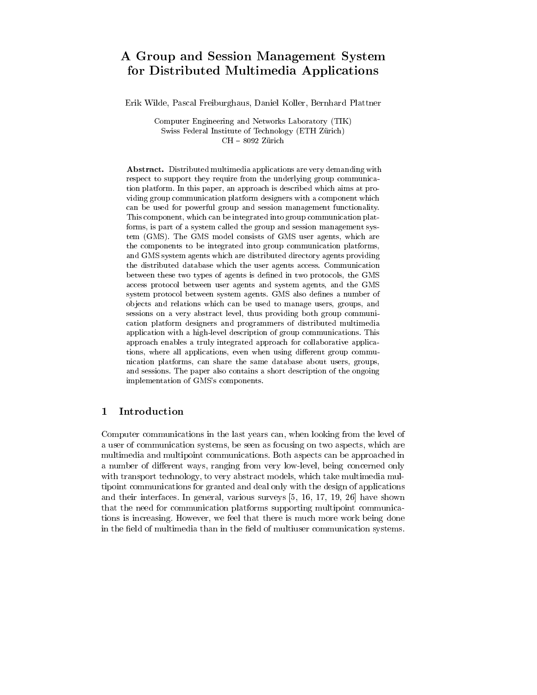# A Group and Session Management System for Distributed Multimedia Applications

Erik Wilde, Pascal Freiburghaus, Daniel Koller, Bernhard Plattner

Computer Engineering and Networks Laboratory (TIK) Swiss Federal Institute of Technology (ETH Zürich)  $CH - 8092$  Zürich

Abstract. Distributed multimedia applications are very demanding with respect to support they require from the underlying group communication platform. In this paper, an approach is described which aims at providing group communication platform designers with a component which can be used for powerful group and session management functionality. This component, which can be integrated into group communication platforms, is part of a system called the group and session management system (GMS). The GMS model consists of GMS user agents, which are the components to be integrated into group communication platforms, and GMS system agents which are distributed directory agents providing the distributed database which the user agents access. Communication between these two types of agents is dened in two protocols, the GMS access protocol between user agents and system agents, and the GMS system protocol between system agents. GMS also denes a number of ob jects and relations which can be used to manage users, groups, and sessions on a very abstract level, thus providing both group communication platform designers and programmers of distributed multimedia application with a high-level description of group communications. This approach enables a truly integrated approach for collaborative applications, where all applications, even when using different group communication platforms, can share the same database about users, groups, and sessions. The paper also contains a short description of the ongoing implementation of GMS's components.

#### 1 **Introduction**

Computer communications in the last years can, when looking from the level of a user of communication systems, be seen as focusing on two aspects, which are multimedia and multipoint communications. Both aspects can be approached in a number of different ways, ranging from very low-level, being concerned only with transport technology, to very abstract models, which take multimedia multipoint communications for granted and deal only with the design of applications and their interfaces. In general, various surveys [5, 16, 17, 19, 26] have shown that the need for communication platforms supporting multipoint communications is increasing. However, we feel that there is much more work being done in the field of multimedia than in the field of multiuser communication systems.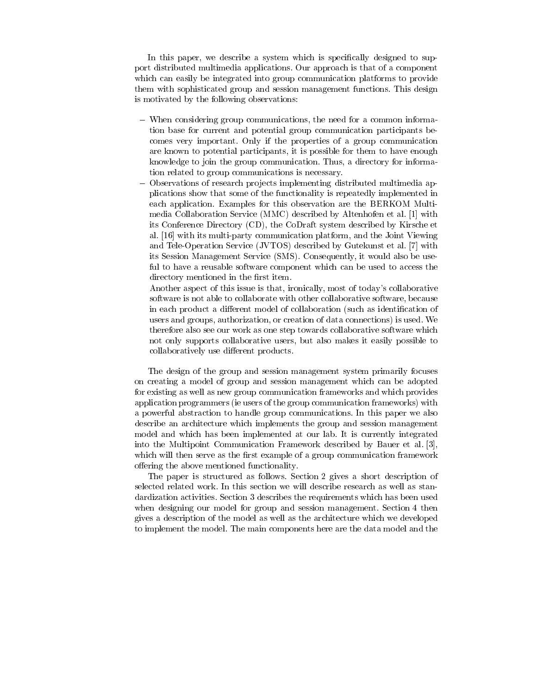In this paper, we describe a system which is specifically designed to support distributed multimedia applications. Our approach is that of a component which can easily be integrated into group communication platforms to provide them with sophisticated group and session management functions. This design is motivated by the following observations:

- When considering group communications, the need for a common information base for current and potential group communication participants becomes very important. Only if the properties of a group communication are known to potential participants, it is possible for them to have enough knowledge to join the group communication. Thus, a directory for information related to group communications is necessary.
- { Observations of research pro jects implementing distributed multimedia applications show that some of the functionality is repeatedly implemented in each application. Examples for this observation are the BERKOM Multimedia Collaboration Service (MMC) described by Altenhofen et al. [1] with its Conference Directory (CD), the CoDraft system described by Kirsche et al. [16] with its multi-party communication platform, and the Joint Viewing and Tele-Operation Service (JVTOS) described by Gutekunst et al. [7] with its Session Management Service (SMS). Consequently, it would also be useful to have a reusable software component which can be used to access the directory mentioned in the first item.

Another aspect of this issue is that, ironically, most of today's collaborative software is not able to collaborate with other collaborative software, because in each product a different model of collaboration (such as identification of users and groups, authorization, or creation of data connections) is used. We therefore also see our work as one step towards collaborative software which not only supports collaborative users, but also makes it easily possible to collaboratively use different products.

The design of the group and session management system primarily focuses on creating a model of group and session management which can be adopted for existing as well as new group communication frameworks and which provides application programmers (ie users of the group communication frameworks) with a powerful abstraction to handle group communications. In this paper we also describe an architecture which implements the group and session management model and which has been implemented at our lab. It is currently integrated into the Multipoint Communication Framework described by Bauer et al. [3], which will then serve as the first example of a group communication framework offering the above mentioned functionality.

The paper is structured as follows. Section 2 gives a short description of selected related work. In this section we will describe research as well as standardization activities. Section 3 describes the requirements which has been used when designing our model for group and session management. Section 4 then gives a description of the model as well as the architecture which we developed to implement the model. The main components here are the data model and the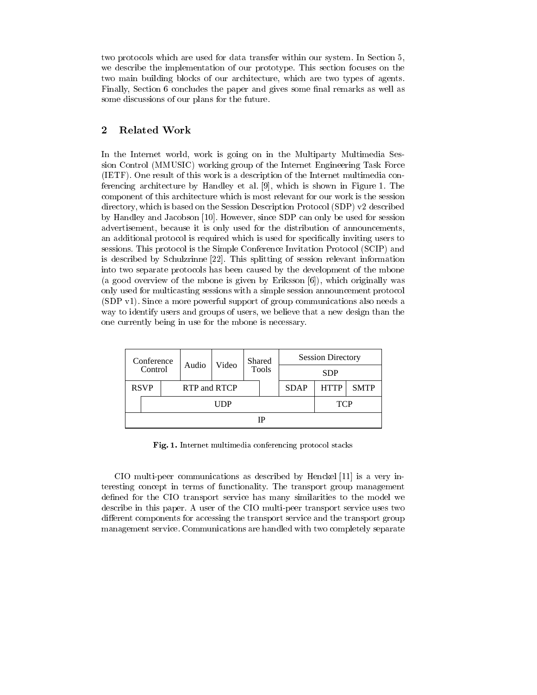two protocols which are used for data transfer within our system. In Section 5, we describe the implementation of our prototype. This section focuses on the two main building blocks of our architecture, which are two types of agents. Finally, Section 6 concludes the paper and gives some final remarks as well as some discussions of our plans for the future.

## 2 Related Work

In the Internet world, work is going on in the Multiparty Multimedia Session Control (MMUSIC) working group of the Internet Engineering Task Force (IETF). One result of this work is a description of the Internet multimedia conferencing architecture by Handley et al. [9], which is shown in Figure 1. The component of this architecture which is most relevant for our work is the session directory, which is based on the Session Description Protocol (SDP) v2 described by Handley and Jacobson [10]. However, since SDP can only be used for session advertisement, because it is only used for the distribution of announcements, an additional protocol is required which is used for specically inviting users to sessions. This protocol is the Simple Conference Invitation Protocol (SCIP) and is described by Schulzrinne [22]. This splitting of session relevant information into two separate protocols has been caused by the development of the mbone (a good overview of the mbone is given by Eriksson [6]), which originally was only used for multicasting sessions with a simple session announcement protocol (SDP v1). Since a more powerful support of group communications also needs a way to identify users and groups of users, we believe that a new design than the one currently being in use for the mbone is necessary.

| Conference<br>Control |            |  | Audio        | Video | Shared<br><b>Tools</b> |             | <b>Session Directory</b> |             |  |
|-----------------------|------------|--|--------------|-------|------------------------|-------------|--------------------------|-------------|--|
|                       |            |  |              |       |                        |             | <b>SDP</b>               |             |  |
| <b>RSVP</b>           |            |  | RTP and RTCP |       |                        | <b>SDAP</b> | <b>HTTP</b>              | <b>SMTP</b> |  |
|                       | <b>UDP</b> |  |              |       |                        |             |                          | <b>TCP</b>  |  |
| ΙP                    |            |  |              |       |                        |             |                          |             |  |

Fig. 1. Internet multimedia conferencing protocol stacks

CIO multi-peer communications as described by Henckel [11] is a very interesting concept in terms of functionality. The transport group management defined for the CIO transport service has many similarities to the model we describe in this paper. A user of the CIO multi-peer transport service uses two different components for accessing the transport service and the transport group management service. Communications are handled with two completely separate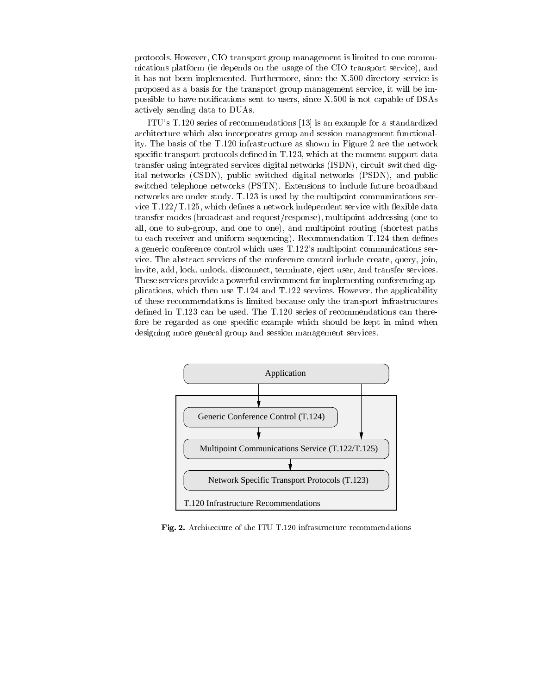protocols. However, CIO transport group management is limited to one communications platform (ie depends on the usage of the CIO transport service), and it has not been implemented. Furthermore, since the X.500 directory service is proposed as a basis for the transport group management service, it will be impossible to have notications sent to users, since X.500 is not capable of DSAs actively sending data to DUAs.

ITU's T.120 series of recommendations [13] is an example for a standardized architecture which also incorporates group and session management functionality. The basis of the T.120 infrastructure as shown in Figure 2 are the network specific transport protocols defined in T.123, which at the moment support data transfer using integrated services digital networks (ISDN), circuit switched digital networks (CSDN), public switched digital networks (PSDN), and public switched telephone networks (PSTN). Extensions to include future broadband networks are under study. T.123 is used by the multipoint communications service  $T.122/T.125$ , which defines a network independent service with flexible data transfer modes (broadcast and request/response), multipoint addressing (one to all, one to sub-group, and one to one), and multipoint routing (shortest paths to each receiver and uniform sequencing). Recommendation  $T.124$  then defines a generic conference control which uses T.122's multipoint communications service. The abstract services of the conference control include create, query, join, invite, add, lock, unlock, disconnect, terminate, eject user, and transfer services. These services provide a powerful environment for implementing conferencing applications, which then use T.124 and T.122 services. However, the applicability of these recommendations is limited because only the transport infrastructures defined in T.123 can be used. The T.120 series of recommendations can therefore be regarded as one specific example which should be kept in mind when designing more general group and session management services.



Fig. 2. Architecture of the ITU T.120 infrastructure recommendations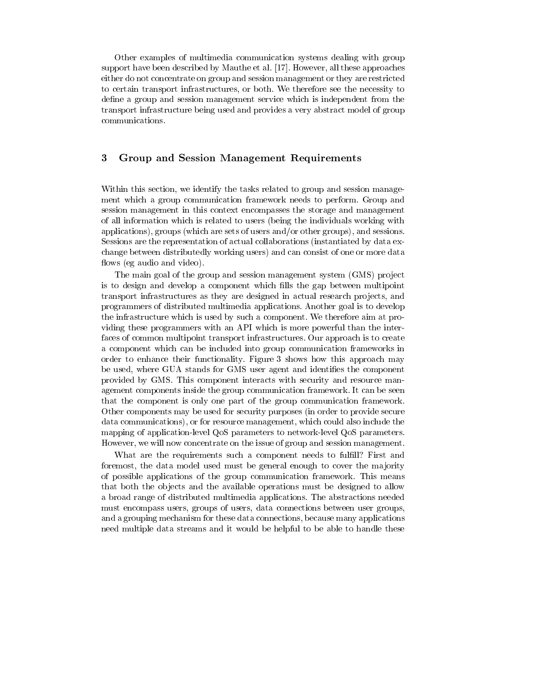Other examples of multimedia communication systems dealing with group support have been described by Mauthe et al. [17]. However, all these approaches either do not concentrate on group and session management or they are restricted to certain transport infrastructures, or both. We therefore see the necessity to define a group and session management service which is independent from the transport infrastructure being used and provides a very abstract model of group communications.

#### 3 3 Group and Session Management Requirements

Within this section, we identify the tasks related to group and session management which a group communication framework needs to perform. Group and session management in this context encompasses the storage and management of all information which is related to users (being the individuals working with applications), groups (which are sets of users and/or other groups), and sessions. Sessions are the representation of actual collaborations (instantiated by data exchange between distributedly working users) and can consist of one or more data flows (eg audio and video).

The main goal of the group and session management system (GMS) project is to design and develop a component which fills the gap between multipoint transport infrastructures as they are designed in actual research projects, and programmers of distributed multimedia applications. Another goal is to develop the infrastructure which is used by such a component. We therefore aim at providing these programmers with an API which is more powerful than the interfaces of common multipoint transport infrastructures. Our approach is to create a component which can be included into group communication frameworks in order to enhance their functionality. Figure 3 shows how this approach may be used, where GUA stands for GMS user agent and identifies the component provided by GMS. This component interacts with security and resource management components inside the group communication framework. It can be seen that the component is only one part of the group communication framework. Other components may be used for security purposes (in order to provide secure data communications), or for resource management, which could also include the mapping of application-level QoS parameters to network-level QoS parameters. However, we will now concentrate on the issue of group and session management.

What are the requirements such a component needs to fulfill? First and foremost, the data model used must be general enough to cover the majority of possible applications of the group communication framework. This means that both the objects and the available operations must be designed to allow a broad range of distributed multimedia applications. The abstractions needed must encompass users, groups of users, data connections between user groups, and a grouping mechanism for these data connections, because many applications need multiple data streams and it would be helpful to be able to handle these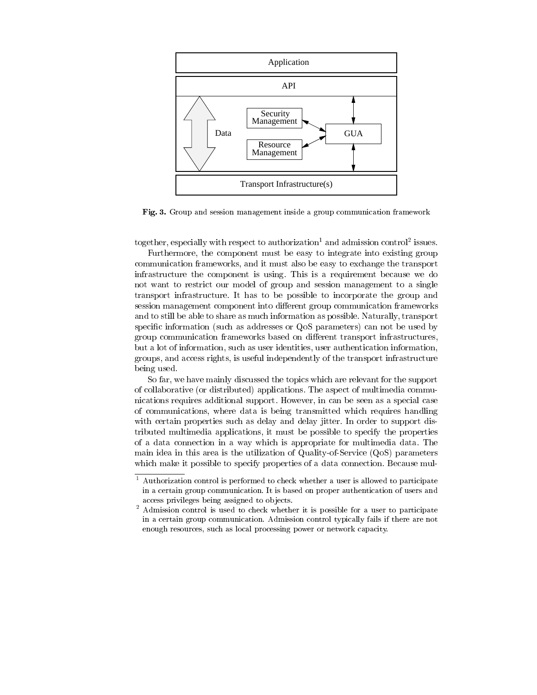

Fig. 3. Group and session management inside a group communication framework

together, especially with respect to authorization<sup>-</sup> and admission control<sup>-</sup> issues.

Furthermore, the component must be easy to integrate into existing group communication frameworks, and it must also be easy to exchange the transport infrastructure the component is using. This is a requirement because we do not want to restrict our model of group and session management to a single transport infrastructure. It has to be possible to incorporate the group and session management component into different group communication frameworks and to still be able to share as much information as possible. Naturally, transport specic information (such as addresses or QoS parameters) can not be used by group communication frameworks based on different transport infrastructures, but a lot of information, such as user identities, user authentication information, groups, and access rights, is useful independently of the transport infrastructure being used.

So far, we have mainly discussed the topics which are relevant for the support of collaborative (or distributed) applications. The aspect of multimedia communications requires additional support. However, in can be seen as a special case of communications, where data is being transmitted which requires handling with certain properties such as delay and delay jitter. In order to support distributed multimedia applications, it must be possible to specify the properties of a data connection in a way which is appropriate for multimedia data. The main idea in this area is the utilization of Quality-of-Service (QoS) parameters which make it possible to specify properties of a data connection. Because mul-

<sup>1</sup> Authorization control is performed to check whether a user is allowed to participate in a certain group communication. It is based on proper authentication of users and access privileges being assigned to ob jects.

<sup>2</sup> Admission control is used to check whether it is possible for a user to participate in a certain group communication. Admission control typically fails if there are not enough resources, such as local processing power or network capacity.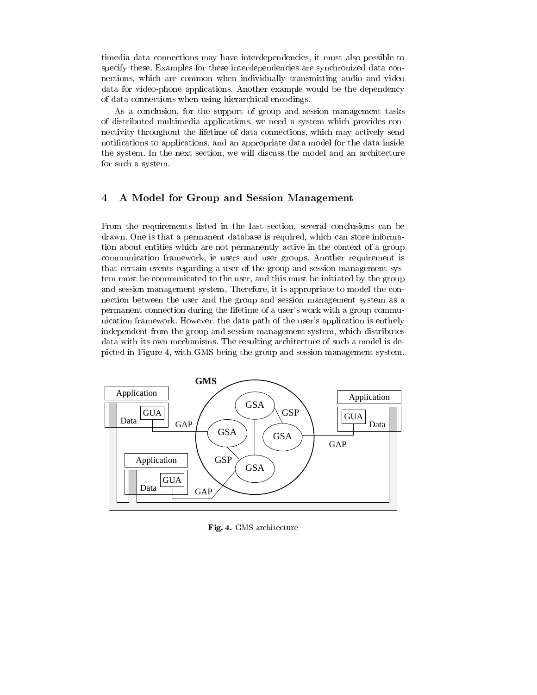timedia data connections may have interdependencies, it must also possible to specify these. Examples for these interdependencies are synchronized data connections, which are common when individually transmitting audio and video data for video-phone applications. Another example would be the dependency of data connections when using hierarchical encodings.

As a conclusion, for the support of group and session management tasks of distributed multimedia applications, we need a system which provides connectivity throughout the lifetime of data connections, which may actively send notifications to applications, and an appropriate data model for the data inside the system. In the next section, we will discuss the model and an architecture for such a system.

## 4 A Model for Group and Session Management

From the requirements listed in the last section, several conclusions can be drawn. One is that a permanent database is required, which can store information about entities which are not permanently active in the context of a group communication framework, ie users and user groups. Another requirement is that certain events regarding a user of the group and session management system must be communicated to the user, and this must be initiated by the group and session management system. Therefore, it is appropriate to model the connection between the user and the group and session management system as a permanent connection during the lifetime of a user's work with a group communication framework. However, the data path of the user's application is entirely independent from the group and session management system, which distributes data with its own mechanisms. The resulting architecture of such a model is depicted in Figure 4, with GMS being the group and session management system.



Fig. 4. GMS architecture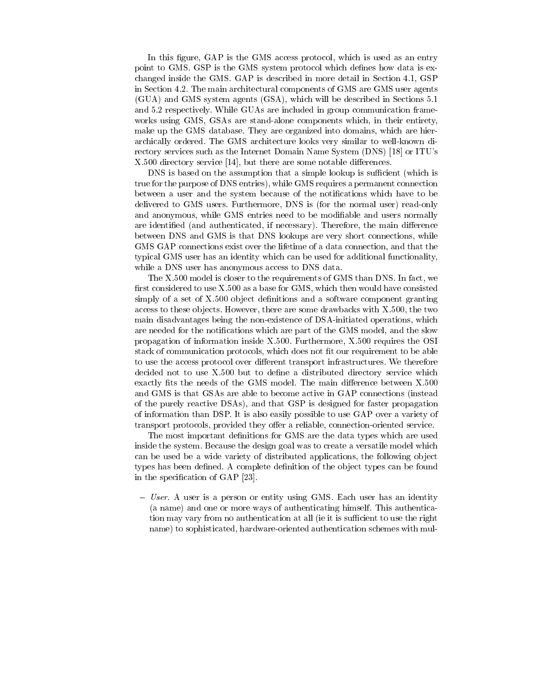In this figure, GAP is the GMS access protocol, which is used as an entry point to GMS. GSP is the GMS system protocol which defines how data is exchanged inside the GMS. GAP is described in more detail in Section 4.1, GSP in Section 4.2. The main architectural components of GMS are GMS user agents (GUA) and GMS system agents (GSA), which will be described in Sections 5.1 and 5.2 respectively. While GUAs are included in group communication frame works using GMS, GSAs are stand-alone components which, in their entirety, make up the GMS database. They are organized into domains, which are hierarchically ordered. The GMS architecture looks very similar to well-known directory services such as the Internet Domain Name System (DNS) [18] or ITU's  $X.500$  directory service [14], but there are some notable differences.

DNS is based on the assumption that a simple lookup is sufficient (which is true for the purpose of DNS entries), while GMS requires a permanent connection between a user and the system because of the notifications which have to be delivered to GMS users. Furthermore, DNS is (for the normal user) read-only and anonymous, while GMS entries need to be modifiable and users normally are identified (and authenticated, if necessary). Therefore, the main difference between DNS and GMS is that DNS lookups are very short connections, while GMS GAP connections exist over the lifetime of a data connection, and that the typical GMS user has an identity which can be used for additional functionality, while a DNS user has anonymous access to DNS data.

The X.500 model is closer to the requirements of GMS than DNS. In fact, we first considered to use  $X.500$  as a base for GMS, which then would have consisted simply of a set of  $X.500$  object definitions and a software component granting access to these objects. However, there are some drawbacks with X.500, the two main disadvantages being the non-existence of DSA-initiated operations, which are needed for the notifications which are part of the GMS model, and the slow propagation of information inside X.500. Furthermore, X.500 requires the OSI stack of communication protocols, which does not fit our requirement to be able to use the access protocol over different transport infrastructures. We therefore decided not to use X.500 but to define a distributed directory service which exactly fits the needs of the GMS model. The main difference between X.500 and GMS is that GSAs are able to become active in GAP connections (instead of the purely reactive DSAs), and that GSP is designed for faster propagation of information than DSP. It is also easily possible to use GAP over a variety of transport protocols, provided they offer a reliable, connection-oriented service.

The most important definitions for GMS are the data types which are used inside the system. Because the design goal was to create a versatile model which can be used be a wide variety of distributed applications, the following object types has been defined. A complete definition of the object types can be found in the specification of GAP [23].

 ${\cal U}$  User. A user is a person or entity using GMS. Each user has an identity (a name) and one or more ways of authenticating himself. This authentication may vary from no authentication at all (ie it is sufficient to use the right name) to sophisticated, hardware-oriented authentication schemes with mul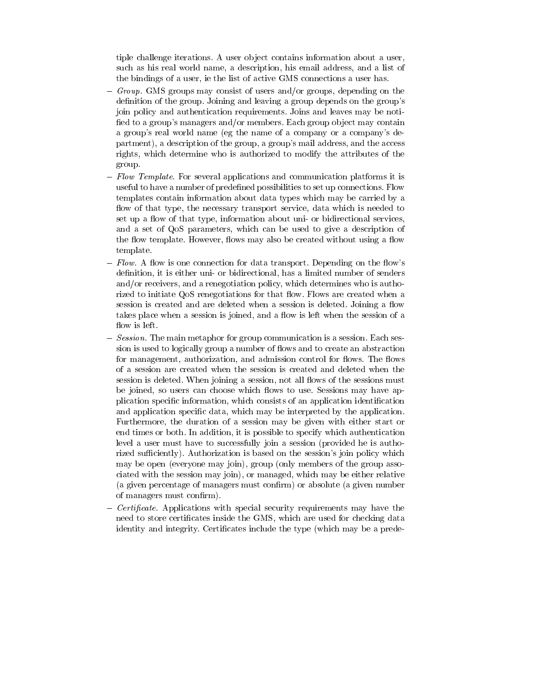tiple challenge iterations. A user ob ject contains information about a user, such as his real world name, a description, his email address, and a list of the bindings of a user, ie the list of active GMS connections a user has.

- $-$  Group. GMS groups may consist of users and/or groups, depending on the definition of the group. Joining and leaving a group depends on the group's join policy and authentication requirements. Joins and leaves may be noti fied to a group's managers and/or members. Each group object may contain a group's real world name (eg the name of a company or a company's department), a description of the group, a group's mail address, and the access rights, which determine who is authorized to modify the attributes of the group.
- Flow Template. For several applications and communication platforms it is useful to have a number of predefined possibilities to set up connections. Flow templates contain information about data types which may be carried by a flow of that type, the necessary transport service, data which is needed to set up a flow of that type, information about uni- or bidirectional services, and a set of QoS parameters, which can be used to give a description of the flow template. However, flows may also be created without using a flow template.
- $-$  Flow. A flow is one connection for data transport. Depending on the flow's definition, it is either uni- or bidirectional, has a limited number of senders and/or receivers, and a renegotiation policy, which determines who is authorized to initiate QoS renegotiations for that flow. Flows are created when a session is created and are deleted when a session is deleted. Joining a flow takes place when a session is joined, and a flow is left when the session of a flow is left.
- ${ S \epsilon}$  Session. The main metaphor for group communication is a session. Each session is used to logically group a number of flows and to create an abstraction for management, authorization, and admission control for flows. The flows of a session are created when the session is created and deleted when the session is deleted. When joining a session, not all flows of the sessions must be joined, so users can choose which flows to use. Sessions may have application specific information, which consists of an application identification and application specic data, which may be interpreted by the application. Furthermore, the duration of a session may be given with either start or end times or both. In addition, it is possible to specify which authentication level a user must have to successfully join a session (provided he is authorized sufficiently). Authorization is based on the session's join policy which may be open (everyone may join), group (only members of the group associated with the session may join), or managed, which may be either relative (a given percentage of managers must conrm) or absolute (a given number of managers must confirm).
- $\overline{C}$  Certificate. Applications with special security requirements may have the need to store certicates inside the GMS, which are used for checking data identity and integrity. Certificates include the type (which may be a prede-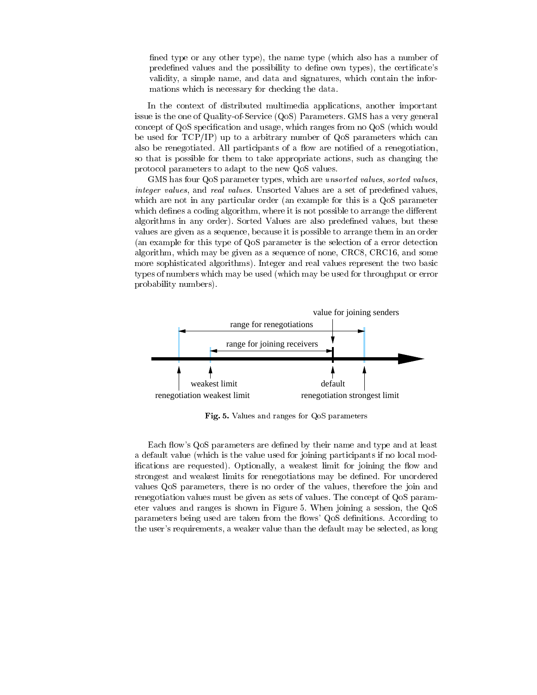fined type or any other type), the name type (which also has a number of predefined values and the possibility to define own types), the certificate's validity, a simple name, and data and signatures, which contain the informations which is necessary for checking the data.

In the context of distributed multimedia applications, another important issue is the one of Quality-of-Service (QoS) Parameters. GMS has a very general concept of QoS specification and usage, which ranges from no QoS (which would be used for TCP/IP) up to a arbitrary number of QoS parameters which can also be renegotiated. All participants of a flow are notified of a renegotiation, so that is possible for them to take appropriate actions, such as changing the protocol parameters to adapt to the new QoS values.

GMS has four QoS parameter types, which are *unsorted values*, *sorted values*, integer values, and real values. Unsorted Values are a set of predefined values, which are not in any particular order (an example for this is a QoS parameter which defines a coding algorithm, where it is not possible to arrange the different algorithms in any order). Sorted Values are also predefined values, but these values are given as a sequence, because it is possible to arrange them in an order (an example for this type of QoS parameter is the selection of a error detection algorithm, which may be given as a sequence of none, CRC8, CRC16, and some more sophisticated algorithms). Integer and real values represent the two basic types of numbers which may be used (which may be used for throughput or error probability numbers).



Fig. 5. Values and ranges for QoS parameters

Each flow's QoS parameters are defined by their name and type and at least a default value (which is the value used for joining participants if no local modifications are requested). Optionally, a weakest limit for joining the flow and strongest and weakest limits for renegotiations may be defined. For unordered values QoS parameters, there is no order of the values, therefore the join and renegotiation values must be given as sets of values. The concept of QoS parameter values and ranges is shown in Figure 5. When joining a session, the QoS parameters being used are taken from the flows' QoS definitions. According to the user's requirements, a weaker value than the default may be selected, as long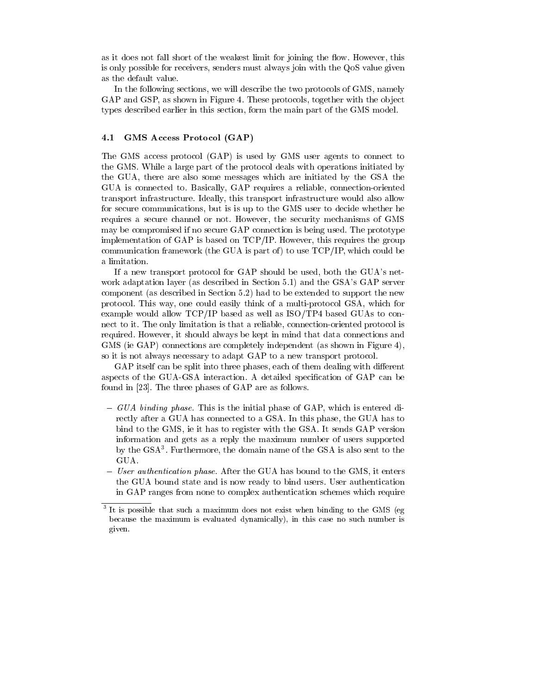as it does not fall short of the weakest limit for joining the flow. However, this is only possible for receivers, senders must always join with the QoS value given as the default value.

In the following sections, we will describe the two protocols of GMS, namely GAP and GSP, as shown in Figure 4. These protocols, together with the object types described earlier in this section, form the main part of the GMS model.

### 4.1 GMS Access Protocol (GAP)

The GMS access protocol (GAP) is used by GMS user agents to connect to the GMS. While a large part of the protocol deals with operations initiated by the GUA, there are also some messages which are initiated by the GSA the GUA is connected to. Basically, GAP requires a reliable, connection-oriented transport infrastructure. Ideally, this transport infrastructure would also allow for secure communications, but is is up to the GMS user to decide whether he requires a secure channel or not. However, the security mechanisms of GMS may be compromised if no secure GAP connection is being used. The prototype implementation of GAP is based on TCP/IP. However, this requires the group communication framework (the GUA is part of) to use  $TCP/IP$ , which could be a limitation.

If a new transport protocol for GAP should be used, both the GUA's net work adaptation layer (as described in Section 5.1) and the GSA's GAP server component (as described in Section 5.2) had to be extended to support the new protocol. This way, one could easily think of a multi-protocol GSA, which for example would allow TCP/IP based as well as ISO/TP4 based GUAs to connect to it. The only limitation is that a reliable, connection-oriented protocol is required. However, it should always be kept in mind that data connections and GMS (ie GAP) connections are completely independent (as shown in Figure 4), so it is not always necessary to adapt GAP to a new transport protocol.

GAP itself can be split into three phases, each of them dealing with different aspects of the GUA-GSA interaction. A detailed specification of GAP can be found in [23]. The three phases of GAP are as follows.

- $-$  GUA binding phase. This is the initial phase of GAP, which is entered directly after a GUA has connected to a GSA. In this phase, the GUA has to bind to the GMS, ie it has to register with the GSA. It sends GAP version information and gets as a reply the maximum number of users supported by the GSA3. Furthermore, the domain name of the GSA is also sent to the GUA.
- $-$  User authentication phase. After the GUA has bound to the GMS, it enters the GUA bound state and is now ready to bind users. User authentication in GAP ranges from none to complex authentication schemes which require

<sup>3</sup> It is possible that such a maximum does not exist when binding to the GMS (eg because the maximum is evaluated dynamically), in this case no such number is given.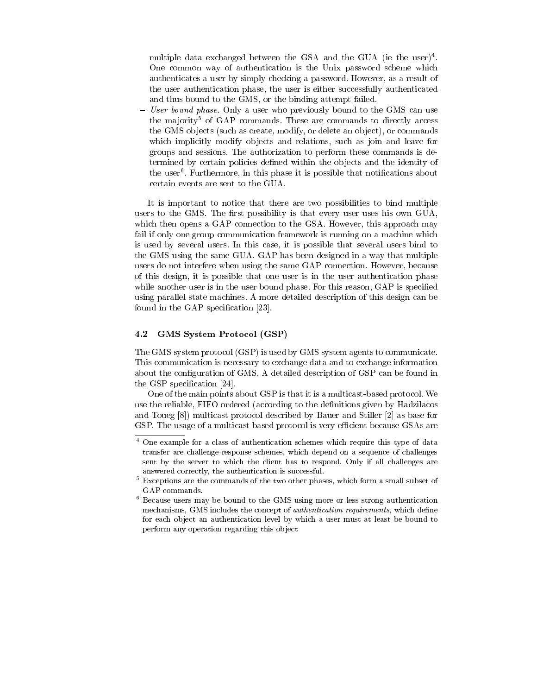multiple data exchanged between the GSA and the GUA (ie the user)<sup>4</sup>. One common way of authentication is the Unix password scheme which authenticates a user by simply checking a password. However, as a result of the user authentication phase, the user is either successfully authenticated and thus bound to the GMS, or the binding attempt failed.

User bound phase. Only a user who previously bound to the GMS can use the majority<sup>5</sup> of GAP commands. These are commands to directly access the GMS objects (such as create, modify, or delete an object), or commands which implicitly modify ob jects and relations, such as join and leave for groups and sessions. The authorization to perform these commands is determined by certain policies defined within the objects and the identity of the userfluturermore, in this phase it is possible that notifications about certain events are sent to the GUA.

It is important to notice that there are two possibilities to bind multiple users to the GMS. The first possibility is that every user uses his own  $GUA$ , which then opens a GAP connection to the GSA. However, this approach may fail if only one group communication framework is running on a machine which is used by several users. In this case, it is possible that several users bind to the GMS using the same GUA. GAP has been designed in a way that multiple users do not interfere when using the same GAP connection. However, because of this design, it is possible that one user is in the user authentication phase while another user is in the user bound phase. For this reason, GAP is specified using parallel state machines. A more detailed description of this design can be found in the GAP specification [23].

### 4.2 GMS System Protocol (GSP)

The GMS system protocol (GSP) is used by GMS system agents to communicate. This communication is necessary to exchange data and to exchange information about the configuration of GMS. A detailed description of GSP can be found in the GSP specification [24].

One of the main points about GSP is that it is a multicast-based protocol. We use the reliable, FIFO ordered (according to the definitions given by Hadzilacos and Toueg [8]) multicast protocol described by Bauer and Stiller [2] as base for GSP. The usage of a multicast based protocol is very efficient because GSAs are

 $\, \cdot \,$  One example for a class of authentication schemes which require this type of data  $\,$ transfer are challenge-response schemes, which depend on a sequence of challenges sent by the server to which the client has to respond. Only if all challenges are answered correctly, the authentication is successful.

<sup>5</sup> Exceptions are the commands of the two other phases, which form a small subset of GAP commands.

 $\widetilde{\ }$  because users may be bound to the GMS using more or less strong authentication mechanisms, GMS includes the concept of *authentication requirements*, which define for each ob ject an authentication level by which a user must at least be bound to perform any operation regarding this ob ject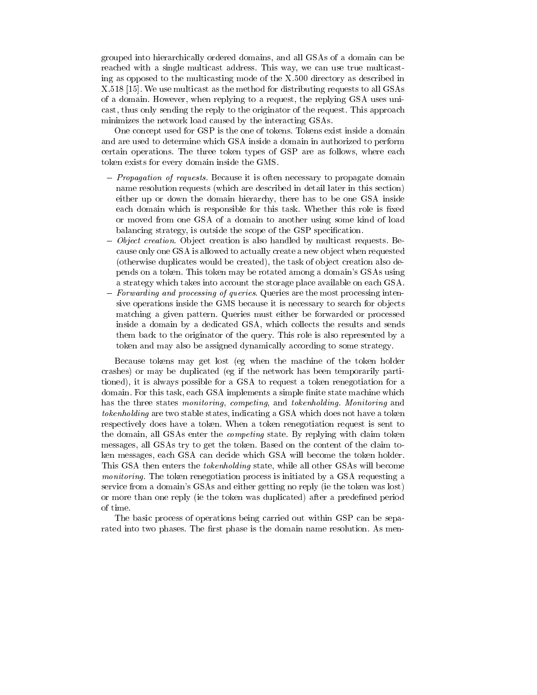grouped into hierarchically ordered domains, and all GSAs of a domain can be reached with a single multicast address. This way, we can use true multicasting as opposed to the multicasting mode of the X.500 directory as described in X.518 [15]. We use multicast as the method for distributing requests to all GSAs of a domain. However, when replying to a request, the replying GSA uses unicast, thus only sending the reply to the originator of the request. This approach minimizes the network load caused by the interacting GSAs.

One concept used for GSP is the one of tokens. Tokens exist inside a domain and are used to determine which GSA inside a domain in authorized to perform certain operations. The three token types of GSP are as follows, where each token exists for every domain inside the GMS.

- *Propagation of requests*. Because it is often necessary to propagate domain name resolution requests (which are described in detail later in this section) either up or down the domain hierarchy, there has to be one GSA inside each domain which is responsible for this task. Whether this role is fixed or moved from one GSA of a domain to another using some kind of load balancing strategy, is outside the scope of the GSP specification.
- ${\cal -}$  *Object creation.* Object creation is also handled by multicast requests. Because only one GSA is allowed to actually create a new ob ject when requested (otherwise duplicates would be created), the task of ob ject creation also depends on a token. This token may be rotated among a domain's GSAs using a strategy which takes into account the storage place available on each GSA.
- Forwarding and processing of queries. Queries are the most processing intensive operations inside the GMS because it is necessary to search for objects matching a given pattern. Queries must either be forwarded or processed inside a domain by a dedicated GSA, which collects the results and sends them back to the originator of the query. This role is also represented by a token and may also be assigned dynamically according to some strategy.

Because tokens may get lost (eg when the machine of the token holder crashes) or may be duplicated (eg if the network has been temporarily partitioned), it is always possible for a GSA to request a token renegotiation for a domain. For this task, each GSA implements a simple finite state machine which has the three states monitoring, competing, and tokenholding. Monitoring and tokenholding are two stable states, indicating a GSA which does not have a token respectively does have a token. When a token renegotiation request is sent to the domain, all GSAs enter the competing state. By replying with claim token messages, all GSAs try to get the token. Based on the content of the claim token messages, each GSA can decide which GSA will become the token holder. This GSA then enters the tokenholding state, while all other GSAs will become monitoring. The token renegotiation process is initiated by a GSA requesting a service from a domain's GSAs and either getting no reply (ie the token was lost) or more than one reply (ie the token was duplicated) after a predefined period of time.

The basic process of operations being carried out within GSP can be separated into two phases. The first phase is the domain name resolution. As men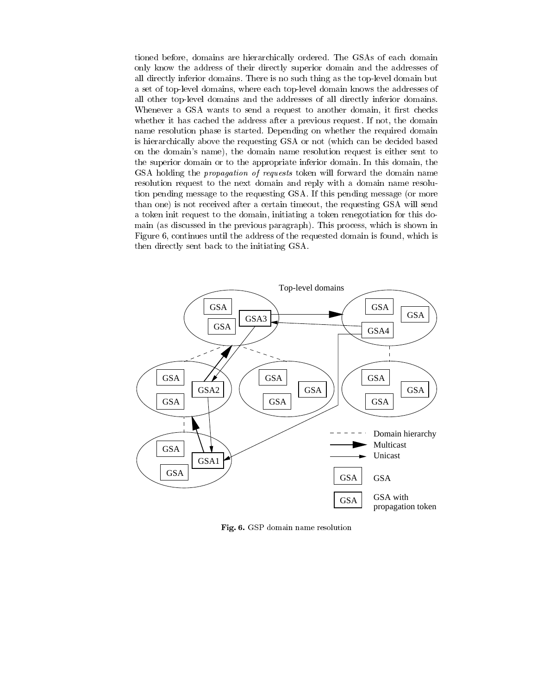tioned before, domains are hierarchically ordered. The GSAs of each domain only know the address of their directly superior domain and the addresses of all directly inferior domains. There is no such thing as the top-level domain but a set of top-level domains, where each top-level domain knows the addresses of all other top-level domains and the addresses of all directly inferior domains. Whenever a GSA wants to send a request to another domain, it first checks whether it has cached the address after a previous request. If not, the domain name resolution phase is started. Depending on whether the required domain is hierarchically above the requesting GSA or not (which can be decided based on the domain's name), the domain name resolution request is either sent to the superior domain or to the appropriate inferior domain. In this domain, the GSA holding the *propagation of requests* token will forward the domain name resolution request to the next domain and reply with a domain name resolution pending message to the requesting GSA. If this pending message (or more than one) is not received after a certain timeout, the requesting GSA will send a token init request to the domain, initiating a token renegotiation for this domain (as discussed in the previous paragraph). This process, which is shown in Figure 6, continues until the address of the requested domain is found, which is then directly sent back to the initiating GSA.



Fig. 6. GSP domain name resolution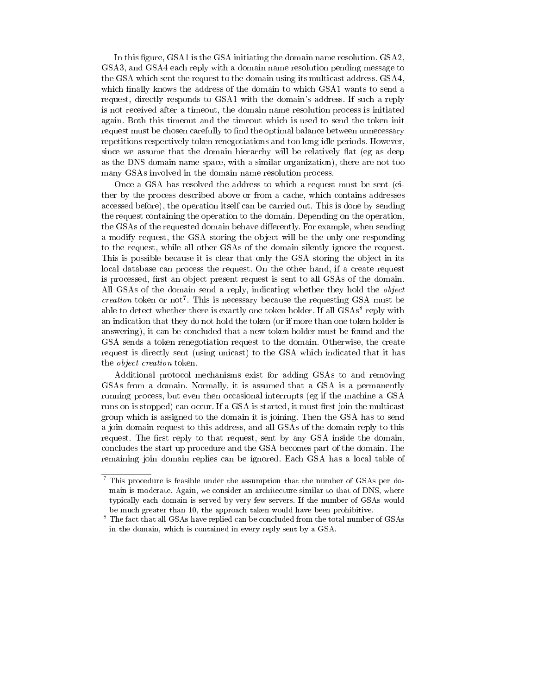In this figure, GSA1 is the GSA initiating the domain name resolution. GSA2, GSA3, and GSA4 each reply with a domain name resolution pending message to the GSA which sent the request to the domain using its multicast address. GSA4, which finally knows the address of the domain to which GSA1 wants to send a request, directly responds to GSA1 with the domain's address. If such a reply is not received after a timeout, the domain name resolution process is initiated again. Both this timeout and the timeout which is used to send the token init request must be chosen carefully to find the optimal balance between unnecessary repetitions respectively token renegotiations and too long idle periods. However, since we assume that the domain hierarchy will be relatively flat (eg as deep as the DNS domain name space, with a similar organization), there are not too many GSAs involved in the domain name resolution process.

Once a GSA has resolved the address to which a request must be sent (either by the process described above or from a cache, which contains addresses accessed before), the operation itself can be carried out. This is done by sending the request containing the operation to the domain. Depending on the operation, the GSAs of the requested domain behave differently. For example, when sending a modify request, the GSA storing the object will be the only one responding to the request, while all other GSAs of the domain silently ignore the request. This is possible because it is clear that only the GSA storing the object in its local database can process the request. On the other hand, if a create request is processed, first an object present request is sent to all GSAs of the domain. All GSAs of the domain send a reply, indicating whether they hold the object creation token or not. This is necessary because the requesting GSA must be able to detect whether there is exactly one token holder. If all  $\mathtt{GMS}$  reply with an indication that they do not hold the token (or if more than one token holder is answering), it can be concluded that a new token holder must be found and the GSA sends a token renegotiation request to the domain. Otherwise, the create request is directly sent (using unicast) to the GSA which indicated that it has the object creation token.

Additional protocol mechanisms exist for adding GSAs to and removing GSAs from a domain. Normally, it is assumed that a GSA is a permanently running process, but even then occasional interrupts (eg if the machine a GSA runs on is stopped) can occur. If a GSA is started, it must first join the multicast group which is assigned to the domain it is joining. Then the GSA has to send a join domain request to this address, and all GSAs of the domain reply to this request. The first reply to that request, sent by any GSA inside the domain, concludes the start up procedure and the GSA becomes part of the domain. The remaining join domain replies can be ignored. Each GSA has a local table of

<sup>7</sup> This procedure is feasible under the assumption that the number of GSAs per domain is moderate. Again, we consider an architecture similar to that of DNS, where typically each domain is served by very few servers. If the number of GSAs would be much greater than 10, the approach taken would have been prohibitive.

 $^\circ$  The fact that all GSAs have replied can be concluded from the total number of GSAs  $^\circ$ in the domain, which is contained in every reply sent by a GSA.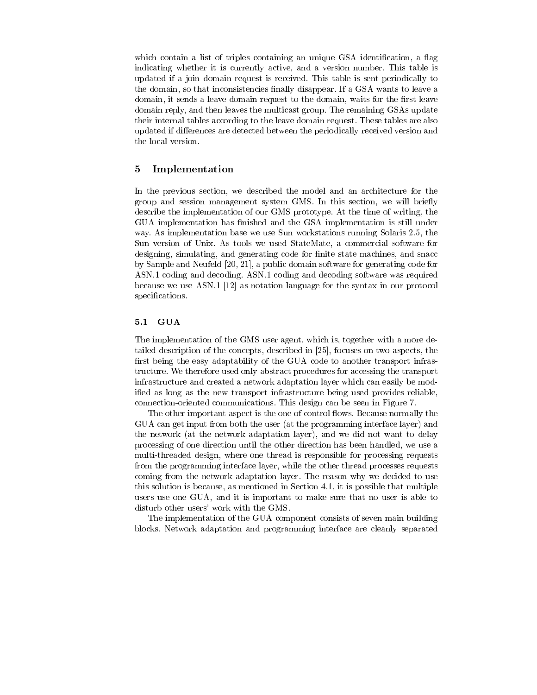which contain a list of triples containing an unique GSA identification, a flag indicating whether it is currently active, and a version number. This table is updated if a join domain request is received. This table is sent periodically to the domain, so that inconsistencies finally disappear. If a GSA wants to leave a domain, it sends a leave domain request to the domain, waits for the first leave domain reply, and then leaves the multicast group. The remaining GSAs update their internal tables according to the leave domain request. These tables are also updated if differences are detected between the periodically received version and the local version.

## 5 Implementation

In the previous section, we described the model and an architecture for the group and session management system GMS. In this section, we will briefly describe the implementation of our GMS prototype. At the time of writing, the GUA implementation has finished and the GSA implementation is still under way. As implementation base we use Sun workstations running Solaris 2.5, the Sun version of Unix. As tools we used StateMate, a commercial software for designing, simulating, and generating code for finite state machines, and snacc by Sample and Neufeld [20, 21], a public domain software for generating code for ASN.1 coding and decoding. ASN.1 coding and decoding software was required because we use ASN.1 [12] as notation language for the syntax in our protocol specifications.

The implementation of the GMS user agent, which is, together with a more detailed description of the concepts, described in [25], focuses on two aspects, the first being the easy adaptability of the GUA code to another transport infrastructure. We therefore used only abstract procedures for accessing the transport infrastructure and created a network adaptation layer which can easily be modied as long as the new transport infrastructure being used provides reliable, connection-oriented communications. This design can be seen in Figure 7.

The other important aspect is the one of control flows. Because normally the GUA can get input from both the user (at the programming interface layer) and the network (at the network adaptation layer), and we did not want to delay processing of one direction until the other direction has been handled, we use a multi-threaded design, where one thread is responsible for processing requests from the programming interface layer, while the other thread processes requests coming from the network adaptation layer. The reason why we decided to use this solution is because, as mentioned in Section 4.1, it is possible that multiple users use one GUA, and it is important to make sure that no user is able to disturb other users' work with the GMS.

The implementation of the GUA component consists of seven main building blocks. Network adaptation and programming interface are cleanly separated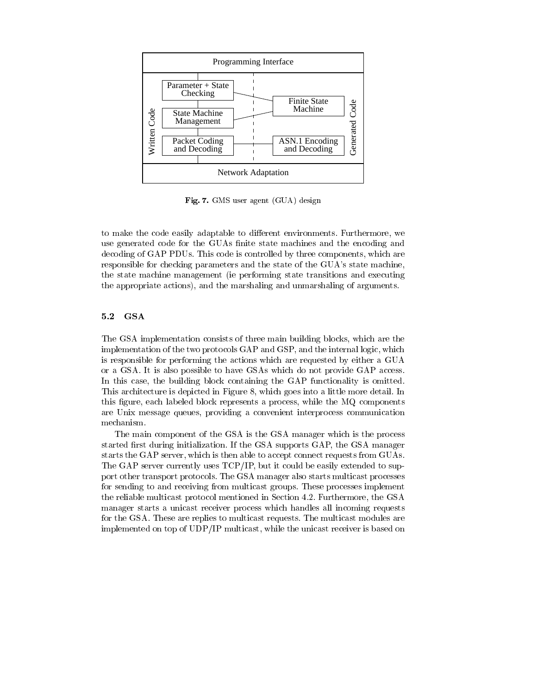

Fig. 7. GMS user agent (GUA) design

to make the code easily adaptable to different environments. Furthermore, we use generated code for the GUAs finite state machines and the encoding and decoding of GAP PDUs. This code is controlled by three components, which are responsible for checking parameters and the state of the GUA's state machine, the state machine management (ie performing state transitions and executing the appropriate actions), and the marshaling and unmarshaling of arguments.

#### $5.2$ 5.2 GSA

The GSA implementation consists of three main building blocks, which are the implementation of the two protocols GAP and GSP, and the internal logic, which is responsible for performing the actions which are requested by either a GUA or a GSA. It is also possible to have GSAs which do not provide GAP access. In this case, the building block containing the GAP functionality is omitted. This architecture is depicted in Figure 8, which goes into a little more detail. In this figure, each labeled block represents a process, while the MQ components are Unix message queues, providing a convenient interprocess communication mechanism.

The main component of the GSA is the GSA manager which is the process started first during initialization. If the GSA supports GAP, the GSA manager starts the GAP server, which is then able to accept connect requests from GUAs. The GAP server currently uses TCP/IP, but it could be easily extended to support other transport protocols. The GSA manager also starts multicast processes for sending to and receiving from multicast groups. These processes implement the reliable multicast protocol mentioned in Section 4.2. Furthermore, the GSA manager starts a unicast receiver process which handles all incoming requests for the GSA. These are replies to multicast requests. The multicast modules are implemented on top of UDP/IP multicast, while the unicast receiver is based on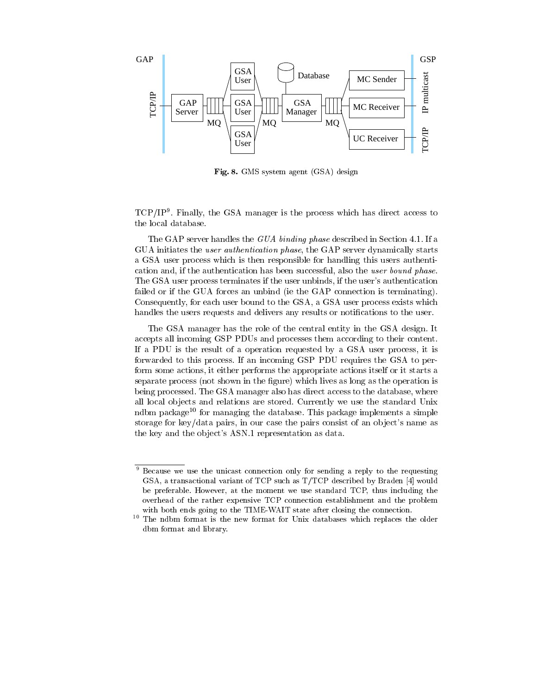

Fig. 8. GMS system agent (GSA) design

TCP/IP9 . Finally, the GSA manager is the process which has direct access to the local database.

The GAP server handles the GUA binding phase described in Section 4.1. If a GUA initiates the user authentication phase, the GAP server dynamically starts a GSA user process which is then responsible for handling this users authentication and, if the authentication has been successful, also the user bound phase. The GSA user process terminates if the user unbinds, if the user's authentication failed or if the GUA forces an unbind (ie the GAP connection is terminating). Consequently, for each user bound to the GSA, a GSA user process exists which handles the users requests and delivers any results or notifications to the user.

The GSA manager has the role of the central entity in the GSA design. It accepts all incoming GSP PDUs and processes them according to their content. If a PDU is the result of a operation requested by a GSA user process, it is forwarded to this process. If an incoming GSP PDU requires the GSA to perform some actions, it either performs the appropriate actions itself or it starts a separate process (not shown in the figure) which lives as long as the operation is being processed. The GSA manager also has direct access to the database, where all local ob jects and relations are stored. Currently we use the standard Unix ndbm package<sup>10</sup> for managing the database. This package implements a simple storage for key/data pairs, in our case the pairs consist of an object's name as the key and the ob ject's ASN.1 representation as data.

 $\,$  -Because we use the unicast connection only for sending a reply to the requesting  $\,$ GSA, a transactional variant of TCP such as T/TCP described by Braden [4] would be preferable. However, at the moment we use standard TCP, thus including the overhead of the rather expensive TCP connection establishment and the problem with both ends going to the TIME-WAIT state after closing the connection.

 $\lq\lq$  . The norm format is the new format for Unix databases which replaces the older dbm format and library.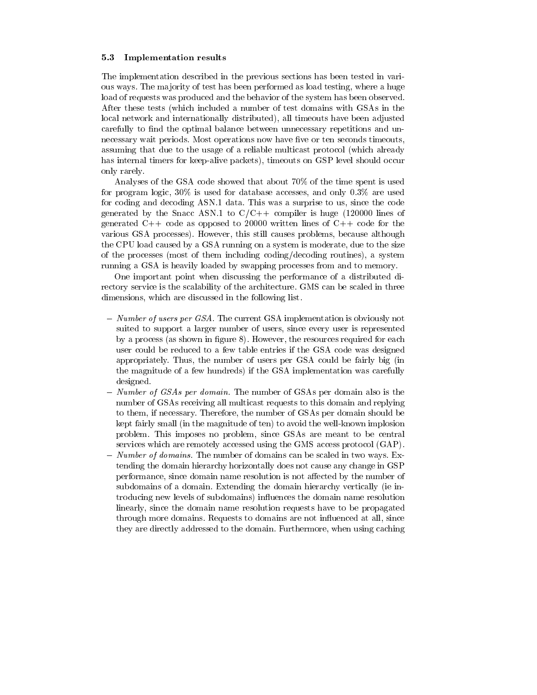### 5.3 Implementation results

The implementation described in the previous sections has been tested in various ways. The majority of test has been performed as load testing, where a huge load of requests was produced and the behavior of the system has been observed. After these tests (which included a number of test domains with GSAs in the local network and internationally distributed), all timeouts have been adjusted carefully to find the optimal balance between unnecessary repetitions and unnecessary wait periods. Most operations now have five or ten seconds timeouts, assuming that due to the usage of a reliable multicast protocol (which already has internal timers for keep-alive packets), timeouts on GSP level should occur only rarely.

Analyses of the GSA code showed that about 70% of the time spent is used for program logic, 30% is used for database accesses, and only 0.3% are used for coding and decoding ASN.1 data. This was a surprise to us, since the code generated by the Snacc ASN.1 to  $C/C++$  compiler is huge (120000 lines of generated  $C++$  code as opposed to 20000 written lines of  $C++$  code for the various GSA processes). However, this still causes problems, because although the CPU load caused by a GSA running on a system is moderate, due to the size of the processes (most of them including coding/decoding routines), a system running a GSA is heavily loaded by swapping processes from and to memory.

One important point when discussing the performance of a distributed directory service is the scalability of the architecture. GMS can be scaled in three dimensions, which are discussed in the following list.

- Number of users per GSA. The current GSA implementation is obviously not suited to support a larger number of users, since every user is represented by a process (as shown in figure 8). However, the resources required for each user could be reduced to a few table entries if the GSA code was designed appropriately. Thus, the number of users per GSA could be fairly big (in the magnitude of a few hundreds) if the GSA implementation was carefully designed.
- ${\sim}$  Number of GSAs per domain. The number of GSAs per domain also is the number of GSAs receiving all multicast requests to this domain and replying to them, if necessary. Therefore, the number of GSAs per domain should be kept fairly small (in the magnitude of ten) to avoid the well-known implosion problem. This imposes no problem, since GSAs are meant to be central services which are remotely accessed using the GMS access protocol (GAP).
- ${\sim}$  Number of domains. The number of domains can be scaled in two ways. Extending the domain hierarchy horizontally does not cause any change in GSP performance, since domain name resolution is not affected by the number of subdomains of a domain. Extending the domain hierarchy vertically (ie introducing new levels of subdomains) influences the domain name resolution linearly, since the domain name resolution requests have to be propagated through more domains. Requests to domains are not influenced at all, since they are directly addressed to the domain. Furthermore, when using caching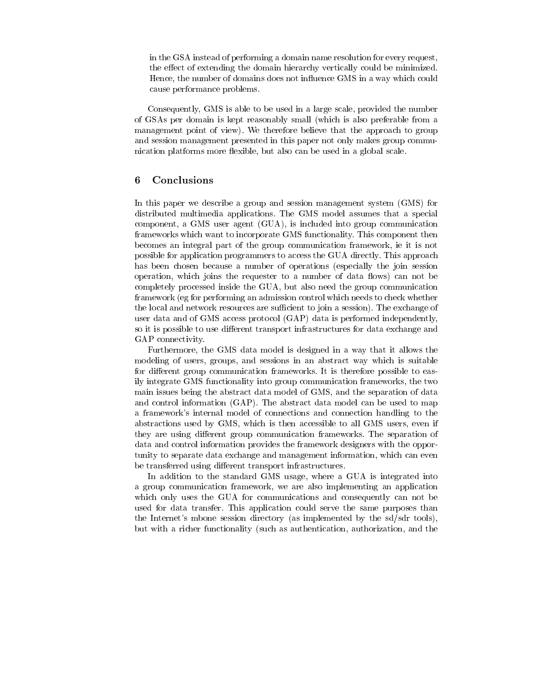in the GSA instead of performing a domain name resolution for every request, the effect of extending the domain hierarchy vertically could be minimized. Hence, the number of domains does not in
uence GMS in a way which could cause performance problems.

Consequently, GMS is able to be used in a large scale, provided the number of GSAs per domain is kept reasonably small (which is also preferable from a management point of view). We therefore believe that the approach to group and session management presented in this paper not only makes group communication platforms more flexible, but also can be used in a global scale.

#### 6 **Conclusions**

In this paper we describe a group and session management system (GMS) for distributed multimedia applications. The GMS model assumes that a special component, a GMS user agent (GUA), is included into group communication frameworks which want to incorporate GMS functionality. This component then becomes an integral part of the group communication framework, ie it is not possible for application programmers to access the GUA directly. This approach has been chosen because a number of operations (especially the join session operation, which joins the requester to a number of data flows) can not be completely processed inside the GUA, but also need the group communication framework (eg for performing an admission control which needs to check whether the local and network resources are sufficient to join a session). The exchange of user data and of GMS access protocol (GAP) data is performed independently, so it is possible to use different transport infrastructures for data exchange and GAP connectivity.

Furthermore, the GMS data model is designed in a way that it allows the modeling of users, groups, and sessions in an abstract way which is suitable for different group communication frameworks. It is therefore possible to easily integrate GMS functionality into group communication frameworks, the two main issues being the abstract data model of GMS, and the separation of data and control information (GAP). The abstract data model can be used to map a framework's internal model of connections and connection handling to the abstractions used by GMS, which is then accessible to all GMS users, even if they are using different group communication frameworks. The separation of data and control information provides the framework designers with the opportunity to separate data exchange and management information, which can even be transferred using different transport infrastructures.

In addition to the standard GMS usage, where a GUA is integrated into a group communication framework, we are also implementing an application which only uses the GUA for communications and consequently can not be used for data transfer. This application could serve the same purposes than the Internet's mbone session directory (as implemented by the sd/sdr tools), but with a richer functionality (such as authentication, authorization, and the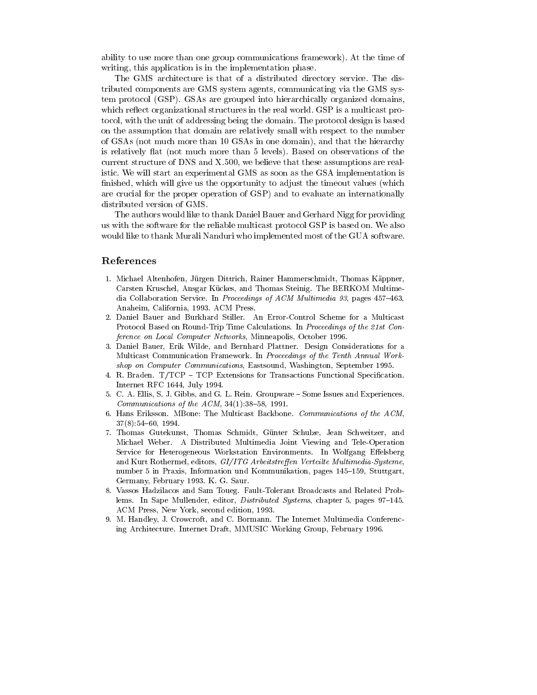ability to use more than one group communications framework). At the time of writing, this application is in the implementation phase.

The GMS architecture is that of a distributed directory service. The distributed components are GMS system agents, communicating via the GMS system protocol (GSP). GSAs are grouped into hierarchically organized domains, which reflect organizational structures in the real world. GSP is a multicast protocol, with the unit of addressing being the domain. The protocol design is based on the assumption that domain are relatively small with respect to the number of GSAs (not much more than 10 GSAs in one domain), and that the hierarchy is relatively at (not much more than 5 levels). Based on observations of the current structure of DNS and X.500, we believe that these assumptions are realistic. We will start an experimental GMS as soon as the GSA implementation is finished, which will give us the opportunity to adjust the timeout values (which are crucial for the proper operation of GSP) and to evaluate an internationally distributed version of GMS.

The authors would like to thank Daniel Bauer and Gerhard Nigg for providing us with the software for the reliable multicast protocol GSP is based on. We also would like to thank Murali Nanduri who implemented most of the GUA software.

## References

- 1. Michael Altenhofen, Jurgen Dittrich, Rainer Hammerschmidt, Thomas Kappner, Carsten Kruschel, Ansgar Kuckes, and Thomas Steinig. The BERKOM Multimedia Collaboration Service. In Proceedings of ACM Multimedia 93, pages  $457{-}463$ , Anaheim, California, 1993. ACM Press.
- 2. Daniel Bauer and Burkhard Stiller. An Error-Control Scheme for a Multicast Protocol Based on Round-Trip Time Calculations. In Proceedings of the 21st Conference on Local Computer Networks, Minneapolis, October 1996.
- 3. Daniel Bauer, Erik Wilde, and Bernhard Plattner. Design Considerations for a Multicast Communication Framework. In Proceedings of the Tenth Annual Workshop on Computer Communications, Eastsound, Washington, September 1995.
- 4. R. Braden.  $T/TCP TCP$  Extensions for Transactions Functional Specification. Internet RFC 1644, July 1994.
- 5. C. A. Ellis, S. J. Gibbs, and G. L. Rein. Groupware Some Issues and Experiences. Communications of the  $ACM$ ,  $34(1):38-58$ , 1991.
- 6. Hans Eriksson. MBone: The Multicast Backbone. Communications of the ACM,  $37(8):54{-}60, 1994.$
- 7. Thomas Gutekunst, Thomas Schmidt, Gunter Schulze, Jean Schweitzer, and Michael Weber. A Distributed Multimedia Joint Viewing and Tele-Operation Service for Heterogeneous Workstation Environments. In Wolfgang Effelsberg and Kurt Rothermel, editors, GI/ITG Arbeitstreffen Verteilte Multimedia-Systeme, number 5 in Praxis, Information und Kommunikation, pages 145-159, Stuttgart, Germany, February 1993. K. G. Saur.
- 8. Vassos Hadzilacos and Sam Toueg. Fault-Tolerant Broadcasts and Related Problems. In Sape Mullender, editor, *Distributed Systems*, chapter 5, pages 97-145. ACM Press, New York, second edition, 1993.
- 9. M. Handley, J. Crowcroft, and C. Bormann. The Internet Multimedia Conferencing Architecture. Internet Draft, MMUSIC Working Group, February 1996.